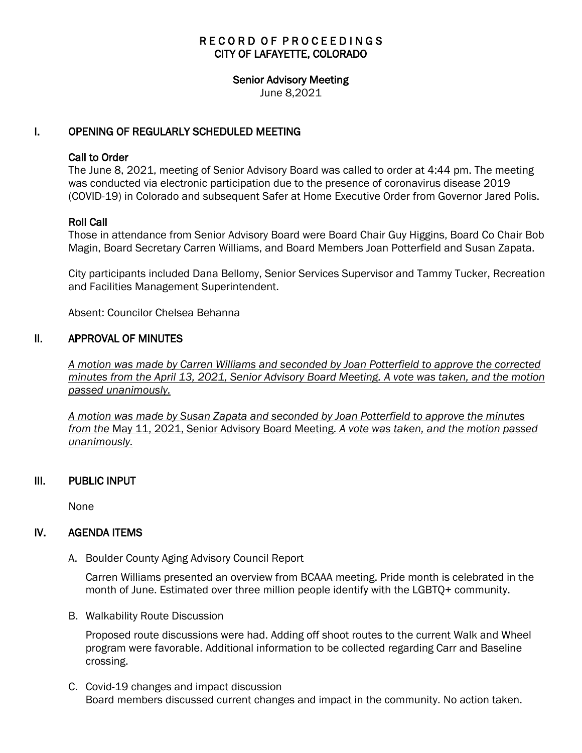# RECORD OF PROCEEDINGS CITY OF LAFAYETTE, COLORADO

#### Senior Advisory Meeting

June 8,2021

## I. OPENING OF REGULARLY SCHEDULED MEETING

#### Call to Order

The June 8, 2021, meeting of Senior Advisory Board was called to order at 4:44 pm. The meeting was conducted via electronic participation due to the presence of coronavirus disease 2019 (COVID-19) in Colorado and subsequent Safer at Home Executive Order from Governor Jared Polis.

### Roll Call

Those in attendance from Senior Advisory Board were Board Chair Guy Higgins, Board Co Chair Bob Magin, Board Secretary Carren Williams, and Board Members Joan Potterfield and Susan Zapata.

City participants included Dana Bellomy, Senior Services Supervisor and Tammy Tucker, Recreation and Facilities Management Superintendent.

Absent: Councilor Chelsea Behanna

### II. APPROVAL OF MINUTES

 *A motion was made by Carren Williams and seconded by Joan Potterfield to approve the corrected minutes from the April 13, 2021, Senior Advisory Board Meeting. A vote was taken, and the motion passed unanimously.*

*A motion was made by Susan Zapata and seconded by Joan Potterfield to approve the minutes from the* May 11, 2021, Senior Advisory Board Meeting. *A vote was taken, and the motion passed unanimously.*

### III. PUBLIC INPUT

None

### IV. AGENDA ITEMS

A. Boulder County Aging Advisory Council Report

Carren Williams presented an overview from BCAAA meeting. Pride month is celebrated in the month of June. Estimated over three million people identify with the LGBTQ+ community.

B. Walkability Route Discussion

Proposed route discussions were had. Adding off shoot routes to the current Walk and Wheel program were favorable. Additional information to be collected regarding Carr and Baseline crossing.

C. Covid-19 changes and impact discussion Board members discussed current changes and impact in the community. No action taken.